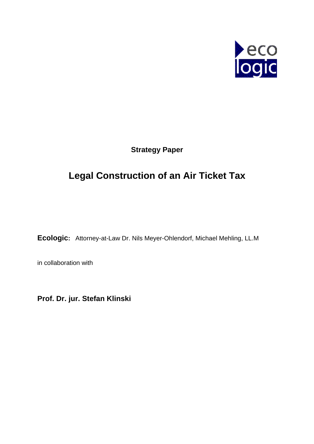

**Strategy Paper** 

# **Legal Construction of an Air Ticket Tax**

**Ecologic:** Attorney-at-Law Dr. Nils Meyer-Ohlendorf, Michael Mehling, LL.M

in collaboration with

**Prof. Dr. jur. Stefan Klinski**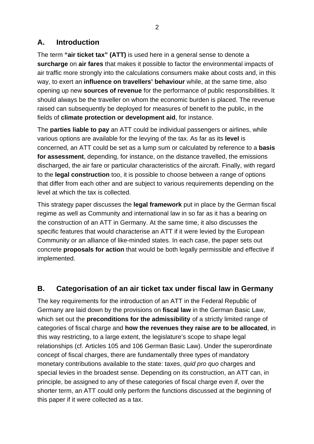# **A. Introduction**

The term **"air ticket tax" (ATT)** is used here in a general sense to denote a **surcharge** on **air fares** that makes it possible to factor the environmental impacts of air traffic more strongly into the calculations consumers make about costs and, in this way, to exert an **influence on travellers' behaviour** while, at the same time, also opening up new **sources of revenue** for the performance of public responsibilities. It should always be the traveller on whom the economic burden is placed. The revenue raised can subsequently be deployed for measures of benefit to the public, in the fields of **climate protection or development aid**, for instance.

The **parties liable to pay** an ATT could be individual passengers or airlines, while various options are available for the levying of the tax. As far as its **level** is concerned, an ATT could be set as a lump sum or calculated by reference to a **basis for assessment**, depending, for instance, on the distance travelled, the emissions discharged, the air fare or particular characteristics of the aircraft. Finally, with regard to the **legal construction** too, it is possible to choose between a range of options that differ from each other and are subject to various requirements depending on the level at which the tax is collected.

This strategy paper discusses the **legal framework** put in place by the German fiscal regime as well as Community and international law in so far as it has a bearing on the construction of an ATT in Germany. At the same time, it also discusses the specific features that would characterise an ATT if it were levied by the European Community or an alliance of like-minded states. In each case, the paper sets out concrete **proposals for action** that would be both legally permissible and effective if implemented.

# **B. Categorisation of an air ticket tax under fiscal law in Germany**

The key requirements for the introduction of an ATT in the Federal Republic of Germany are laid down by the provisions on **fiscal law** in the German Basic Law, which set out the **preconditions for the admissibility** of a strictly limited range of categories of fiscal charge and **how the revenues they raise are to be allocated**, in this way restricting, to a large extent, the legislature's scope to shape legal relationships (cf. Articles 105 and 106 German Basic Law). Under the superordinate concept of fiscal charges, there are fundamentally three types of mandatory monetary contributions available to the state: taxes, *quid pro quo* charges and special levies in the broadest sense. Depending on its construction, an ATT can, in principle, be assigned to any of these categories of fiscal charge even if, over the shorter term, an ATT could only perform the functions discussed at the beginning of this paper if it were collected as a tax.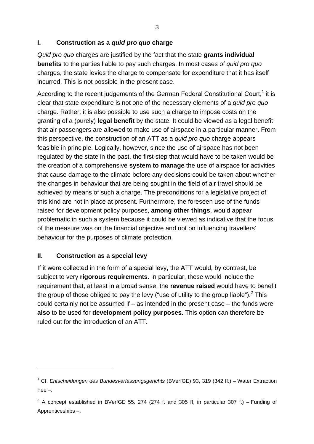### **I. Construction as a** *quid pro quo* **charge**

*Quid pro quo* charges are justified by the fact that the state **grants individual benefits** to the parties liable to pay such charges. In most cases of *quid pro quo* charges, the state levies the charge to compensate for expenditure that it has itself incurred. This is not possible in the present case.

According to the recent judgements of the German Federal Constitutional Court,<sup>[1](#page-2-0)</sup> it is clear that state expenditure is not one of the necessary elements of a *quid pro quo* charge. Rather, it is also possible to use such a charge to impose costs on the granting of a (purely) **legal benefit** by the state. It could be viewed as a legal benefit that air passengers are allowed to make use of airspace in a particular manner. From this perspective, the construction of an ATT as a *quid pro quo* charge appears feasible in principle. Logically, however, since the use of airspace has not been regulated by the state in the past, the first step that would have to be taken would be the creation of a comprehensive **system to manage** the use of airspace for activities that cause damage to the climate before any decisions could be taken about whether the changes in behaviour that are being sought in the field of air travel should be achieved by means of such a charge. The preconditions for a legislative project of this kind are not in place at present. Furthermore, the foreseen use of the funds raised for development policy purposes, **among other things**, would appear problematic in such a system because it could be viewed as indicative that the focus of the measure was on the financial objective and not on influencing travellers' behaviour for the purposes of climate protection.

# **II. Construction as a special levy**

1

If it were collected in the form of a special levy, the ATT would, by contrast, be subject to very **rigorous requirements**. In particular, these would include the requirement that, at least in a broad sense, the **revenue raised** would have to benefit the group of those obliged to pay the levy ("use of utility to the group liable").<sup>2</sup> This could certainly not be assumed if – as intended in the present case – the funds were **also** to be used for **development policy purposes**. This option can therefore be ruled out for the introduction of an ATT.

<span id="page-2-0"></span><sup>1</sup> Cf. *Entscheidungen des Bundesverfassungsgerichts* (BVerfGE) 93, 319 (342 ff.) – Water Extraction Fee –.

<span id="page-2-1"></span><sup>&</sup>lt;sup>2</sup> A concept established in BVerfGE 55, 274 (274 f. and 305 ff, in particular 307 f.) – Funding of Apprenticeships –.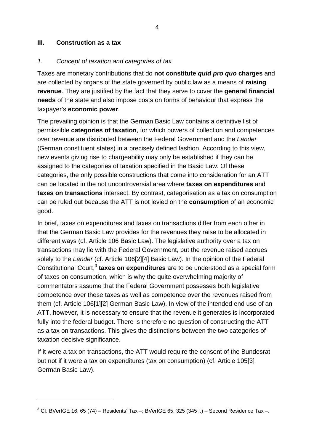#### **III. Construction as a tax**

 $\overline{a}$ 

#### *1. Concept of taxation and categories of tax*

Taxes are monetary contributions that do **not constitute** *quid pro quo* **charges** and are collected by organs of the state governed by public law as a means of **raising revenue**. They are justified by the fact that they serve to cover the **general financial needs** of the state and also impose costs on forms of behaviour that express the taxpayer's **economic power**.

The prevailing opinion is that the German Basic Law contains a definitive list of permissible **categories of taxation**, for which powers of collection and competences over revenue are distributed between the Federal Government and the *Länder* (German constituent states) in a precisely defined fashion. According to this view, new events giving rise to chargeability may only be established if they can be assigned to the categories of taxation specified in the Basic Law. Of these categories, the only possible constructions that come into consideration for an ATT can be located in the not uncontroversial area where **taxes on expenditures** and **taxes on transactions** intersect. By contrast, categorisation as a tax on consumption can be ruled out because the ATT is not levied on the **consumption** of an economic good.

In brief, taxes on expenditures and taxes on transactions differ from each other in that the German Basic Law provides for the revenues they raise to be allocated in different ways (cf. Article 106 Basic Law). The legislative authority over a tax on transactions may lie with the Federal Government, but the revenue raised accrues solely to the *Länder* (cf. Article 106[2][4] Basic Law). In the opinion of the Federal Constitutional Court,<sup>3</sup> taxes on expenditures are to be understood as a special form of taxes on consumption, which is why the quite overwhelming majority of commentators assume that the Federal Government possesses both legislative competence over these taxes as well as competence over the revenues raised from them (cf. Article 106[1][2] German Basic Law). In view of the intended end use of an ATT, however, it is necessary to ensure that the revenue it generates is incorporated fully into the federal budget. There is therefore no question of constructing the ATT as a tax on transactions. This gives the distinctions between the two categories of taxation decisive significance.

If it were a tax on transactions, the ATT would require the consent of the Bundesrat, but not if it were a tax on expenditures (tax on consumption) (cf. Article 105[3] German Basic Law).

<span id="page-3-0"></span> $3$  Cf. BVerfGE 16, 65 (74) – Residents' Tax –; BVerfGE 65, 325 (345 f.) – Second Residence Tax –.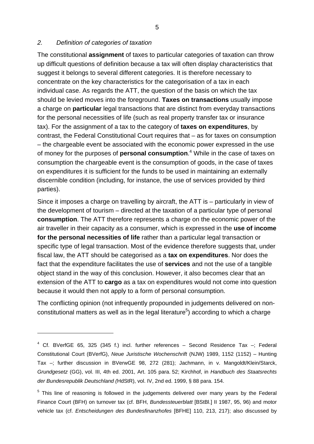#### <span id="page-4-1"></span>*2. Definition of categories of taxation*

1

The constitutional **assignment** of taxes to particular categories of taxation can throw up difficult questions of definition because a tax will often display characteristics that suggest it belongs to several different categories. It is therefore necessary to concentrate on the key characteristics for the categorisation of a tax in each individual case. As regards the ATT, the question of the basis on which the tax should be levied moves into the foreground. **Taxes on transactions** usually impose a charge on **particular** legal transactions that are distinct from everyday transactions for the personal necessities of life (such as real property transfer tax or insurance tax). For the assignment of a tax to the category of **taxes on expenditures**, by contrast, the Federal Constitutional Court requires that – as for taxes on consumption – the chargeable event be associated with the economic power expressed in the use of money for the purposes of **personal consumption**. [4](#page-4-0) While in the case of taxes on consumption the chargeable event is the consumption of goods, in the case of taxes on expenditures it is sufficient for the funds to be used in maintaining an externally discernible condition (including, for instance, the use of services provided by third parties).

Since it imposes a charge on travelling by aircraft, the ATT is – particularly in view of the development of tourism – directed at the taxation of a particular type of personal **consumption**. The ATT therefore represents a charge on the economic power of the air traveller in their capacity as a consumer, which is expressed in the **use of income for the personal necessities of life** rather than a particular legal transaction or specific type of legal transaction. Most of the evidence therefore suggests that, under fiscal law, the ATT should be categorised as a **tax on expenditures**. Nor does the fact that the expenditure facilitates the use of **services** and not the use of a tangible object stand in the way of this conclusion. However, it also becomes clear that an extension of the ATT to **cargo** as a tax on expenditures would not come into question because it would then not apply to a form of personal consumption.

The conflicting opinion (not infrequently propounded in judgements delivered on non-constitutional matters as well as in the legal literature<sup>[5](#page-4-1)</sup>) according to which a charge

<span id="page-4-0"></span> $4$  Cf. BVerfGE 65, 325 (345 f.) incl. further references - Second Residence Tax -; Federal Constitutional Court (BVerfG), *Neue Juristische Wochenschrift* (NJW) 1989, 1152 (1152) – Hunting Tax –; further discussion in BVerwGE 98, 272 (281); Jachmann, in v. Mangoldt/Klein/Starck, *Grundgesetz* (GG), vol. III, 4th ed. 2001, Art. 105 para. 52; Kirchhof, in *Handbuch des Staatsrechts der Bundesrepublik Deutschland (*HdStR), vol. IV, 2nd ed. 1999, § 88 para. 154.

<sup>&</sup>lt;sup>5</sup> This line of reasoning is followed in the judgements delivered over many years by the Federal Finance Court (BFH) on turnover tax (cf. BFH, *Bundessteuerblatt* [BStBl.] II 1987, 95, 96) and motor vehicle tax (cf. *Entscheidungen des Bundesfinanzhofes* [BFHE] 110, 213, 217); also discussed by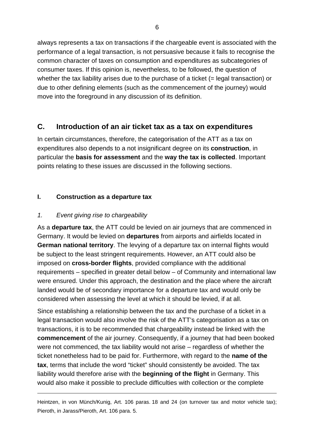always represents a tax on transactions if the chargeable event is associated with the performance of a legal transaction, is not persuasive because it fails to recognise the common character of taxes on consumption and expenditures as subcategories of consumer taxes. If this opinion is, nevertheless, to be followed, the question of whether the tax liability arises due to the purchase of a ticket (= legal transaction) or due to other defining elements (such as the commencement of the journey) would move into the foreground in any discussion of its definition.

# **C. Introduction of an air ticket tax as a tax on expenditures**

In certain circumstances, therefore, the categorisation of the ATT as a tax on expenditures also depends to a not insignificant degree on its **construction**, in particular the **basis for assessment** and the **way the tax is collected**. Important points relating to these issues are discussed in the following sections.

### **I. Construction as a departure tax**

#### *1. Event giving rise to chargeability*

1

As a **departure tax**, the ATT could be levied on air journeys that are commenced in Germany. It would be levied on **departures** from airports and airfields located in **German national territory**. The levying of a departure tax on internal flights would be subject to the least stringent requirements. However, an ATT could also be imposed on **cross-border flights**, provided compliance with the additional requirements – specified in greater detail below – of Community and international law were ensured. Under this approach, the destination and the place where the aircraft landed would be of secondary importance for a departure tax and would only be considered when assessing the level at which it should be levied, if at all.

Since establishing a relationship between the tax and the purchase of a ticket in a legal transaction would also involve the risk of the ATT's categorisation as a tax on transactions, it is to be recommended that chargeability instead be linked with the **commencement** of the air journey. Consequently, if a journey that had been booked were not commenced, the tax liability would not arise – regardless of whether the ticket nonetheless had to be paid for. Furthermore, with regard to the **name of the tax**, terms that include the word "ticket" should consistently be avoided. The tax liability would therefore arise with the **beginning of the flight** in Germany. This would also make it possible to preclude difficulties with collection or the complete

Heintzen, in von Münch/Kunig, Art. 106 paras. 18 and 24 (on turnover tax and motor vehicle tax); Pieroth, in Jarass/Pieroth, Art. 106 para. 5.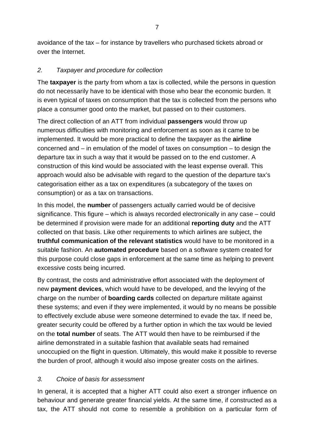avoidance of the tax – for instance by travellers who purchased tickets abroad or over the Internet.

### *2. Taxpayer and procedure for collection*

The **taxpayer** is the party from whom a tax is collected, while the persons in question do not necessarily have to be identical with those who bear the economic burden. It is even typical of taxes on consumption that the tax is collected from the persons who place a consumer good onto the market, but passed on to their customers.

The direct collection of an ATT from individual **passengers** would throw up numerous difficulties with monitoring and enforcement as soon as it came to be implemented. It would be more practical to define the taxpayer as the **airline**  concerned and  $-$  in emulation of the model of taxes on consumption  $-$  to design the departure tax in such a way that it would be passed on to the end customer. A construction of this kind would be associated with the least expense overall. This approach would also be advisable with regard to the question of the departure tax's categorisation either as a tax on expenditures (a subcategory of the taxes on consumption) or as a tax on transactions.

In this model, the **number** of passengers actually carried would be of decisive significance. This figure – which is always recorded electronically in any case – could be determined if provision were made for an additional **reporting duty** and the ATT collected on that basis. Like other requirements to which airlines are subject, the **truthful communication of the relevant statistics** would have to be monitored in a suitable fashion. An **automated procedure** based on a software system created for this purpose could close gaps in enforcement at the same time as helping to prevent excessive costs being incurred.

By contrast, the costs and administrative effort associated with the deployment of new **payment devices**, which would have to be developed, and the levying of the charge on the number of **boarding cards** collected on departure militate against these systems; and even if they were implemented, it would by no means be possible to effectively exclude abuse were someone determined to evade the tax. If need be, greater security could be offered by a further option in which the tax would be levied on the **total number** of seats. The ATT would then have to be reimbursed if the airline demonstrated in a suitable fashion that available seats had remained unoccupied on the flight in question. Ultimately, this would make it possible to reverse the burden of proof, although it would also impose greater costs on the airlines.

# *3. Choice of basis for assessment*

In general, it is accepted that a higher ATT could also exert a stronger influence on behaviour and generate greater financial yields. At the same time, if constructed as a tax, the ATT should not come to resemble a prohibition on a particular form of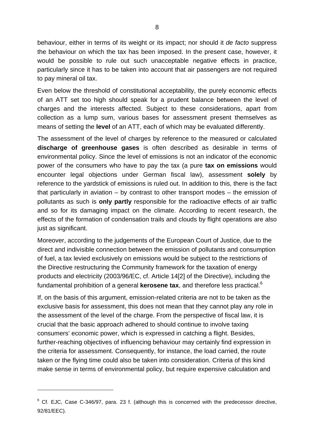behaviour, either in terms of its weight or its impact; nor should it *de facto* suppress the behaviour on which the tax has been imposed. In the present case, however, it would be possible to rule out such unacceptable negative effects in practice, particularly since it has to be taken into account that air passengers are not required to pay mineral oil tax.

Even below the threshold of constitutional acceptability, the purely economic effects of an ATT set too high should speak for a prudent balance between the level of charges and the interests affected. Subject to these considerations, apart from collection as a lump sum, various bases for assessment present themselves as means of setting the **level** of an ATT, each of which may be evaluated differently.

The assessment of the level of charges by reference to the measured or calculated **discharge of greenhouse gases** is often described as desirable in terms of environmental policy. Since the level of emissions is not an indicator of the economic power of the consumers who have to pay the tax (a pure **tax on emissions** would encounter legal objections under German fiscal law), assessment **solely** by reference to the yardstick of emissions is ruled out. In addition to this, there is the fact that particularly in aviation – by contrast to other transport modes – the emission of pollutants as such is **only partly** responsible for the radioactive effects of air traffic and so for its damaging impact on the climate. According to recent research, the effects of the formation of condensation trails and clouds by flight operations are also just as significant.

Moreover, according to the judgements of the European Court of Justice, due to the direct and indivisible connection between the emission of pollutants and consumption of fuel, a tax levied exclusively on emissions would be subject to the restrictions of the Directive restructuring the Community framework for the taxation of energy products and electricity (2003/96/EC, cf. Article 14[2] of the Directive), including the fundamental prohibition of a general **kerosene tax**, and therefore less practical.[6](#page-7-0)

If, on the basis of this argument, emission-related criteria are not to be taken as the exclusive basis for assessment, this does not mean that they cannot play any role in the assessment of the level of the charge. From the perspective of fiscal law, it is crucial that the basic approach adhered to should continue to involve taxing consumers' economic power, which is expressed in catching a flight. Besides, further-reaching objectives of influencing behaviour may certainly find expression in the criteria for assessment. Consequently, for instance, the load carried, the route taken or the flying time could also be taken into consideration. Criteria of this kind make sense in terms of environmental policy, but require expensive calculation and

1

<span id="page-7-0"></span> $6$  Cf. EJC, Case C-346/97, para. 23 f. (although this is concerned with the predecessor directive, 92/81/EEC).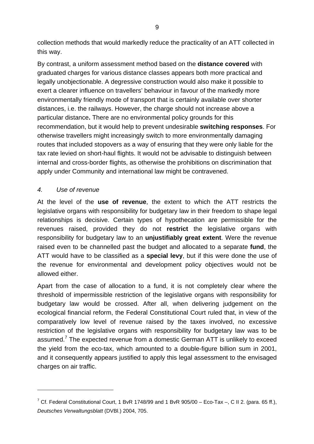collection methods that would markedly reduce the practicality of an ATT collected in this way.

By contrast, a uniform assessment method based on the **distance covered** with graduated charges for various distance classes appears both more practical and legally unobjectionable. A degressive construction would also make it possible to exert a clearer influence on travellers' behaviour in favour of the markedly more environmentally friendly mode of transport that is certainly available over shorter distances, i.e. the railways. However, the charge should not increase above a particular distance**.** There are no environmental policy grounds for this recommendation, but it would help to prevent undesirable **switching responses**. For otherwise travellers might increasingly switch to more environmentally damaging routes that included stopovers as a way of ensuring that they were only liable for the tax rate levied on short-haul flights. It would not be advisable to distinguish between internal and cross-border flights, as otherwise the prohibitions on discrimination that apply under Community and international law might be contravened.

#### *4. Use of revenue*

 $\overline{a}$ 

At the level of the **use of revenue**, the extent to which the ATT restricts the legislative organs with responsibility for budgetary law in their freedom to shape legal relationships is decisive. Certain types of hypothecation are permissible for the revenues raised, provided they do not **restrict** the legislative organs with responsibility for budgetary law to an **unjustifiably great extent**. Were the revenue raised even to be channelled past the budget and allocated to a separate **fund**, the ATT would have to be classified as a **special levy**, but if this were done the use of the revenue for environmental and development policy objectives would not be allowed either.

Apart from the case of allocation to a fund, it is not completely clear where the threshold of impermissible restriction of the legislative organs with responsibility for budgetary law would be crossed. After all, when delivering judgement on the ecological financial reform, the Federal Constitutional Court ruled that, in view of the comparatively low level of revenue raised by the taxes involved, no excessive restriction of the legislative organs with responsibility for budgetary law was to be assumed.<sup>[7](#page-8-0)</sup> The expected revenue from a domestic German ATT is unlikely to exceed the yield from the eco-tax, which amounted to a double-figure billion sum in 2001, and it consequently appears justified to apply this legal assessment to the envisaged charges on air traffic.

<span id="page-8-0"></span><sup>&</sup>lt;sup>7</sup> Cf. Federal Constitutional Court, 1 BvR 1748/99 and 1 BvR 905/00 – Eco-Tax –, C II 2. (para. 65 ff.), *Deutsches Verwaltungsblatt* (DVBl.) 2004, 705.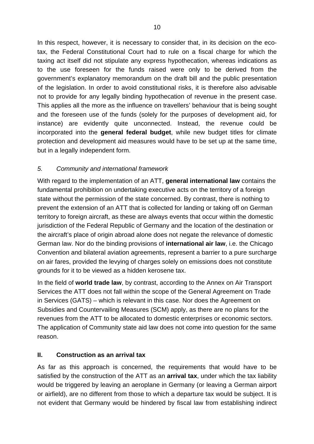In this respect, however, it is necessary to consider that, in its decision on the ecotax, the Federal Constitutional Court had to rule on a fiscal charge for which the taxing act itself did not stipulate any express hypothecation, whereas indications as to the use foreseen for the funds raised were only to be derived from the government's explanatory memorandum on the draft bill and the public presentation of the legislation. In order to avoid constitutional risks, it is therefore also advisable not to provide for any legally binding hypothecation of revenue in the present case. This applies all the more as the influence on travellers' behaviour that is being sought and the foreseen use of the funds (solely for the purposes of development aid, for instance) are evidently quite unconnected. Instead, the revenue could be incorporated into the **general federal budget**, while new budget titles for climate protection and development aid measures would have to be set up at the same time, but in a legally independent form.

# *5. Community and international framework*

With regard to the implementation of an ATT, **general international law** contains the fundamental prohibition on undertaking executive acts on the territory of a foreign state without the permission of the state concerned. By contrast, there is nothing to prevent the extension of an ATT that is collected for landing or taking off on German territory to foreign aircraft, as these are always events that occur within the domestic jurisdiction of the Federal Republic of Germany and the location of the destination or the aircraft's place of origin abroad alone does not negate the relevance of domestic German law. Nor do the binding provisions of **international air law**, i.e. the Chicago Convention and bilateral aviation agreements, represent a barrier to a pure surcharge on air fares, provided the levying of charges solely on emissions does not constitute grounds for it to be viewed as a hidden kerosene tax.

In the field of **world trade law**, by contrast, according to the Annex on Air Transport Services the ATT does not fall within the scope of the General Agreement on Trade in Services (GATS) – which is relevant in this case. Nor does the Agreement on Subsidies and Countervailing Measures (SCM) apply, as there are no plans for the revenues from the ATT to be allocated to domestic enterprises or economic sectors. The application of Community state aid law does not come into question for the same reason.

# **II. Construction as an arrival tax**

As far as this approach is concerned, the requirements that would have to be satisfied by the construction of the ATT as an **arrival tax**, under which the tax liability would be triggered by leaving an aeroplane in Germany (or leaving a German airport or airfield), are no different from those to which a departure tax would be subject. It is not evident that Germany would be hindered by fiscal law from establishing indirect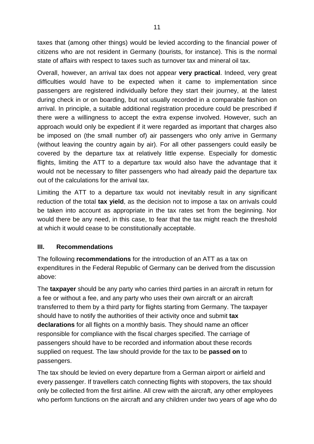taxes that (among other things) would be levied according to the financial power of citizens who are not resident in Germany (tourists, for instance). This is the normal state of affairs with respect to taxes such as turnover tax and mineral oil tax.

Overall, however, an arrival tax does not appear **very practical**. Indeed, very great difficulties would have to be expected when it came to implementation since passengers are registered individually before they start their journey, at the latest during check in or on boarding, but not usually recorded in a comparable fashion on arrival. In principle, a suitable additional registration procedure could be prescribed if there were a willingness to accept the extra expense involved. However, such an approach would only be expedient if it were regarded as important that charges also be imposed on (the small number of) air passengers who only arrive in Germany (without leaving the country again by air). For all other passengers could easily be covered by the departure tax at relatively little expense. Especially for domestic flights, limiting the ATT to a departure tax would also have the advantage that it would not be necessary to filter passengers who had already paid the departure tax out of the calculations for the arrival tax.

Limiting the ATT to a departure tax would not inevitably result in any significant reduction of the total **tax yield**, as the decision not to impose a tax on arrivals could be taken into account as appropriate in the tax rates set from the beginning. Nor would there be any need, in this case, to fear that the tax might reach the threshold at which it would cease to be constitutionally acceptable.

#### **III. Recommendations**

The following **recommendations** for the introduction of an ATT as a tax on expenditures in the Federal Republic of Germany can be derived from the discussion above:

The **taxpayer** should be any party who carries third parties in an aircraft in return for a fee or without a fee, and any party who uses their own aircraft or an aircraft transferred to them by a third party for flights starting from Germany. The taxpayer should have to notify the authorities of their activity once and submit **tax declarations** for all flights on a monthly basis. They should name an officer responsible for compliance with the fiscal charges specified. The carriage of passengers should have to be recorded and information about these records supplied on request. The law should provide for the tax to be **passed on** to passengers.

The tax should be levied on every departure from a German airport or airfield and every passenger. If travellers catch connecting flights with stopovers, the tax should only be collected from the first airline. All crew with the aircraft, any other employees who perform functions on the aircraft and any children under two years of age who do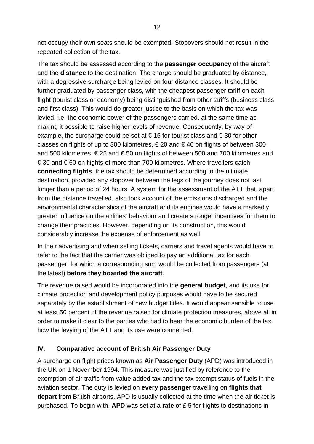not occupy their own seats should be exempted. Stopovers should not result in the repeated collection of the tax.

The tax should be assessed according to the **passenger occupancy** of the aircraft and the **distance** to the destination. The charge should be graduated by distance, with a degressive surcharge being levied on four distance classes. It should be further graduated by passenger class, with the cheapest passenger tariff on each flight (tourist class or economy) being distinguished from other tariffs (business class and first class). This would do greater justice to the basis on which the tax was levied, i.e. the economic power of the passengers carried, at the same time as making it possible to raise higher levels of revenue. Consequently, by way of example, the surcharge could be set at  $\in$  15 for tourist class and  $\in$  30 for other classes on flights of up to 300 kilometres,  $\epsilon$  20 and  $\epsilon$  40 on flights of between 300 and 500 kilometres, € 25 and € 50 on flights of between 500 and 700 kilometres and € 30 and € 60 on flights of more than 700 kilometres. Where travellers catch **connecting flights**, the tax should be determined according to the ultimate destination, provided any stopover between the legs of the journey does not last longer than a period of 24 hours. A system for the assessment of the ATT that, apart from the distance travelled, also took account of the emissions discharged and the environmental characteristics of the aircraft and its engines would have a markedly greater influence on the airlines' behaviour and create stronger incentives for them to change their practices. However, depending on its construction, this would considerably increase the expense of enforcement as well.

In their advertising and when selling tickets, carriers and travel agents would have to refer to the fact that the carrier was obliged to pay an additional tax for each passenger, for which a corresponding sum would be collected from passengers (at the latest) **before they boarded the aircraft**.

The revenue raised would be incorporated into the **general budget**, and its use for climate protection and development policy purposes would have to be secured separately by the establishment of new budget titles. It would appear sensible to use at least 50 percent of the revenue raised for climate protection measures, above all in order to make it clear to the parties who had to bear the economic burden of the tax how the levying of the ATT and its use were connected.

#### **IV. Comparative account of British Air Passenger Duty**

A surcharge on flight prices known as **Air Passenger Duty** (APD) was introduced in the UK on 1 November 1994. This measure was justified by reference to the exemption of air traffic from value added tax and the tax exempt status of fuels in the aviation sector. The duty is levied on **every passenger** travelling on **flights that depart** from British airports. APD is usually collected at the time when the air ticket is purchased. To begin with, **APD** was set at a **rate** of £ 5 for flights to destinations in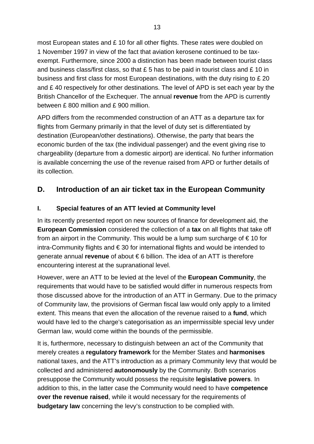most European states and £ 10 for all other flights. These rates were doubled on 1 November 1997 in view of the fact that aviation kerosene continued to be taxexempt. Furthermore, since 2000 a distinction has been made between tourist class and business class/first class, so that  $£ 5$  has to be paid in tourist class and  $£ 10$  in business and first class for most European destinations, with the duty rising to £ 20 and £ 40 respectively for other destinations. The level of APD is set each year by the British Chancellor of the Exchequer. The annual **revenue** from the APD is currently between £ 800 million and £ 900 million.

APD differs from the recommended construction of an ATT as a departure tax for flights from Germany primarily in that the level of duty set is differentiated by destination (European/other destinations). Otherwise, the party that bears the economic burden of the tax (the individual passenger) and the event giving rise to chargeability (departure from a domestic airport) are identical. No further information is available concerning the use of the revenue raised from APD or further details of its collection.

# **D. Introduction of an air ticket tax in the European Community**

# **I. Special features of an ATT levied at Community level**

In its recently presented report on new sources of finance for development aid, the **European Commission** considered the collection of a **tax** on all flights that take off from an airport in the Community. This would be a lump sum surcharge of  $\epsilon$  10 for intra-Community flights and € 30 for international flights and would be intended to generate annual **revenue** of about € 6 billion. The idea of an ATT is therefore encountering interest at the supranational level.

However, were an ATT to be levied at the level of the **European Community**, the requirements that would have to be satisfied would differ in numerous respects from those discussed above for the introduction of an ATT in Germany. Due to the primacy of Community law, the provisions of German fiscal law would only apply to a limited extent. This means that even the allocation of the revenue raised to a **fund**, which would have led to the charge's categorisation as an impermissible special levy under German law, would come within the bounds of the permissible.

It is, furthermore, necessary to distinguish between an act of the Community that merely creates a **regulatory framework** for the Member States and **harmonises**  national taxes, and the ATT's introduction as a primary Community levy that would be collected and administered **autonomously** by the Community. Both scenarios presuppose the Community would possess the requisite **legislative powers**. In addition to this, in the latter case the Community would need to have **competence over the revenue raised**, while it would necessary for the requirements of **budgetary law** concerning the levy's construction to be complied with.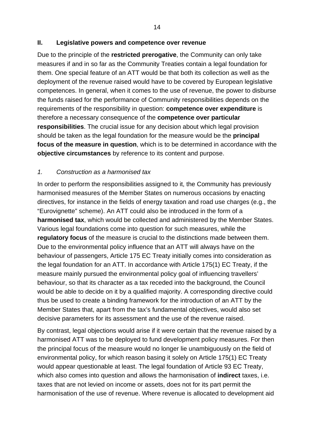#### **II. Legislative powers and competence over revenue**

Due to the principle of the **restricted prerogative**, the Community can only take measures if and in so far as the Community Treaties contain a legal foundation for them. One special feature of an ATT would be that both its collection as well as the deployment of the revenue raised would have to be covered by European legislative competences. In general, when it comes to the use of revenue, the power to disburse the funds raised for the performance of Community responsibilities depends on the requirements of the responsibility in question: **competence over expenditure** is therefore a necessary consequence of the **competence over particular responsibilities**. The crucial issue for any decision about which legal provision should be taken as the legal foundation for the measure would be the **principal focus of the measure in question**, which is to be determined in accordance with the **objective circumstances** by reference to its content and purpose.

#### *1. Construction as a harmonised tax*

In order to perform the responsibilities assigned to it, the Community has previously harmonised measures of the Member States on numerous occasions by enacting directives, for instance in the fields of energy taxation and road use charges (e.g., the "Eurovignette" scheme). An ATT could also be introduced in the form of a **harmonised tax**, which would be collected and administered by the Member States. Various legal foundations come into question for such measures, while the **regulatory focus** of the measure is crucial to the distinctions made between them. Due to the environmental policy influence that an ATT will always have on the behaviour of passengers, Article 175 EC Treaty initially comes into consideration as the legal foundation for an ATT. In accordance with Article 175(1) EC Treaty, if the measure mainly pursued the environmental policy goal of influencing travellers' behaviour, so that its character as a tax receded into the background, the Council would be able to decide on it by a qualified majority. A corresponding directive could thus be used to create a binding framework for the introduction of an ATT by the Member States that, apart from the tax's fundamental objectives, would also set decisive parameters for its assessment and the use of the revenue raised.

By contrast, legal objections would arise if it were certain that the revenue raised by a harmonised ATT was to be deployed to fund development policy measures. For then the principal focus of the measure would no longer lie unambiguously on the field of environmental policy, for which reason basing it solely on Article 175(1) EC Treaty would appear questionable at least. The legal foundation of Article 93 EC Treaty, which also comes into question and allows the harmonisation of **indirect** taxes, i.e. taxes that are not levied on income or assets, does not for its part permit the harmonisation of the use of revenue. Where revenue is allocated to development aid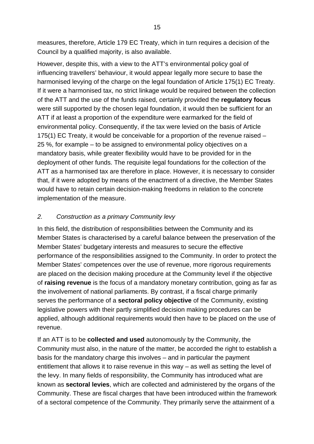measures, therefore, Article 179 EC Treaty, which in turn requires a decision of the Council by a qualified majority, is also available.

However, despite this, with a view to the ATT's environmental policy goal of influencing travellers' behaviour, it would appear legally more secure to base the harmonised levying of the charge on the legal foundation of Article 175(1) EC Treaty. If it were a harmonised tax, no strict linkage would be required between the collection of the ATT and the use of the funds raised, certainly provided the **regulatory focus**  were still supported by the chosen legal foundation, it would then be sufficient for an ATT if at least a proportion of the expenditure were earmarked for the field of environmental policy. Consequently, if the tax were levied on the basis of Article 175(1) EC Treaty, it would be conceivable for a proportion of the revenue raised – 25 %, for example – to be assigned to environmental policy objectives on a mandatory basis, while greater flexibility would have to be provided for in the deployment of other funds. The requisite legal foundations for the collection of the ATT as a harmonised tax are therefore in place. However, it is necessary to consider that, if it were adopted by means of the enactment of a directive, the Member States would have to retain certain decision-making freedoms in relation to the concrete implementation of the measure.

### *2. Construction as a primary Community levy*

In this field, the distribution of responsibilities between the Community and its Member States is characterised by a careful balance between the preservation of the Member States' budgetary interests and measures to secure the effective performance of the responsibilities assigned to the Community. In order to protect the Member States' competences over the use of revenue, more rigorous requirements are placed on the decision making procedure at the Community level if the objective of **raising revenue** is the focus of a mandatory monetary contribution, going as far as the involvement of national parliaments. By contrast, if a fiscal charge primarily serves the performance of a **sectoral policy objective** of the Community, existing legislative powers with their partly simplified decision making procedures can be applied, although additional requirements would then have to be placed on the use of revenue.

If an ATT is to be **collected and used** autonomously by the Community, the Community must also, in the nature of the matter, be accorded the right to establish a basis for the mandatory charge this involves – and in particular the payment entitlement that allows it to raise revenue in this way – as well as setting the level of the levy. In many fields of responsibility, the Community has introduced what are known as **sectoral levies**, which are collected and administered by the organs of the Community. These are fiscal charges that have been introduced within the framework of a sectoral competence of the Community. They primarily serve the attainment of a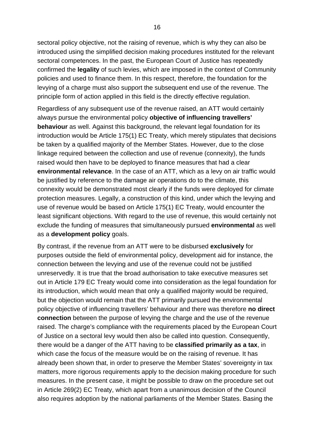sectoral policy objective, not the raising of revenue, which is why they can also be introduced using the simplified decision making procedures instituted for the relevant sectoral competences. In the past, the European Court of Justice has repeatedly confirmed the **legality** of such levies, which are imposed in the context of Community policies and used to finance them. In this respect, therefore, the foundation for the levying of a charge must also support the subsequent end use of the revenue. The principle form of action applied in this field is the directly effective regulation.

Regardless of any subsequent use of the revenue raised, an ATT would certainly always pursue the environmental policy **objective of influencing travellers' behaviour** as well. Against this background, the relevant legal foundation for its introduction would be Article 175(1) EC Treaty, which merely stipulates that decisions be taken by a qualified majority of the Member States. However, due to the close linkage required between the collection and use of revenue (connexity), the funds raised would then have to be deployed to finance measures that had a clear **environmental relevance**. In the case of an ATT, which as a levy on air traffic would be justified by reference to the damage air operations do to the climate, this connexity would be demonstrated most clearly if the funds were deployed for climate protection measures. Legally, a construction of this kind, under which the levying and use of revenue would be based on Article 175(1) EC Treaty, would encounter the least significant objections. With regard to the use of revenue, this would certainly not exclude the funding of measures that simultaneously pursued **environmental** as well as a **development policy** goals.

By contrast, if the revenue from an ATT were to be disbursed **exclusively** for purposes outside the field of environmental policy, development aid for instance, the connection between the levying and use of the revenue could not be justified unreservedly. It is true that the broad authorisation to take executive measures set out in Article 179 EC Treaty would come into consideration as the legal foundation for its introduction, which would mean that only a qualified majority would be required, but the objection would remain that the ATT primarily pursued the environmental policy objective of influencing travellers' behaviour and there was therefore **no direct connection** between the purpose of levying the charge and the use of the revenue raised. The charge's compliance with the requirements placed by the European Court of Justice on a sectoral levy would then also be called into question. Consequently, there would be a danger of the ATT having to be **classified primarily as a tax**, in which case the focus of the measure would be on the raising of revenue. It has already been shown that, in order to preserve the Member States' sovereignty in tax matters, more rigorous requirements apply to the decision making procedure for such measures. In the present case, it might be possible to draw on the procedure set out in Article 269(2) EC Treaty, which apart from a unanimous decision of the Council also requires adoption by the national parliaments of the Member States. Basing the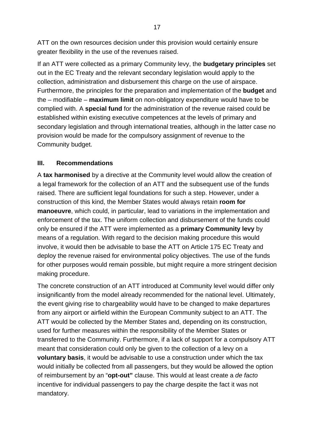ATT on the own resources decision under this provision would certainly ensure greater flexibility in the use of the revenues raised.

If an ATT were collected as a primary Community levy, the **budgetary principles** set out in the EC Treaty and the relevant secondary legislation would apply to the collection, administration and disbursement this charge on the use of airspace. Furthermore, the principles for the preparation and implementation of the **budget** and the – modifiable – **maximum limit** on non-obligatory expenditure would have to be complied with. A **special fund** for the administration of the revenue raised could be established within existing executive competences at the levels of primary and secondary legislation and through international treaties, although in the latter case no provision would be made for the compulsory assignment of revenue to the Community budget.

#### **III. Recommendations**

A **tax harmonised** by a directive at the Community level would allow the creation of a legal framework for the collection of an ATT and the subsequent use of the funds raised. There are sufficient legal foundations for such a step. However, under a construction of this kind, the Member States would always retain **room for manoeuvre**, which could, in particular, lead to variations in the implementation and enforcement of the tax. The uniform collection and disbursement of the funds could only be ensured if the ATT were implemented as a **primary Community levy** by means of a regulation. With regard to the decision making procedure this would involve, it would then be advisable to base the ATT on Article 175 EC Treaty and deploy the revenue raised for environmental policy objectives. The use of the funds for other purposes would remain possible, but might require a more stringent decision making procedure.

The concrete construction of an ATT introduced at Community level would differ only insignificantly from the model already recommended for the national level. Ultimately, the event giving rise to chargeability would have to be changed to make departures from any airport or airfield within the European Community subject to an ATT. The ATT would be collected by the Member States and, depending on its construction, used for further measures within the responsibility of the Member States or transferred to the Community. Furthermore, if a lack of support for a compulsory ATT meant that consideration could only be given to the collection of a levy on a **voluntary basis**, it would be advisable to use a construction under which the tax would initially be collected from all passengers, but they would be allowed the option of reimbursement by an "**opt-out"** clause. This would at least create a *de facto* incentive for individual passengers to pay the charge despite the fact it was not mandatory.